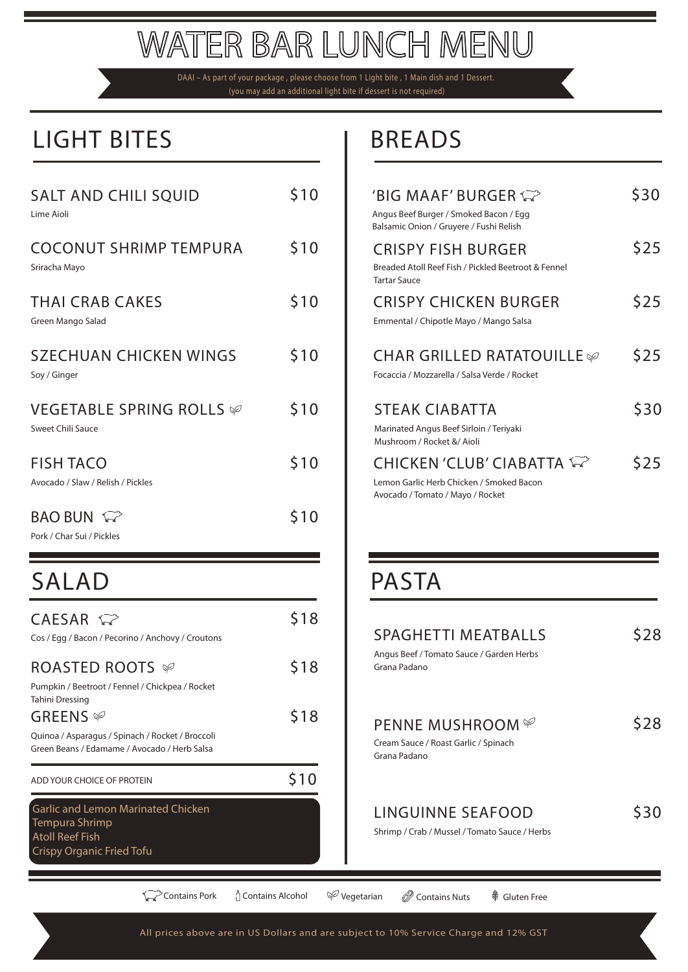# **WATER BAR LUNCH MENU**

DAAI – As part of your package , please choose from 1 Light bite , 1 Main dish and 1 Dessert. (you may add an additional light bite if dessert is not required)

## LIGHT BITES **BREADS**

| <b>SALT AND CHILI SQUID</b><br>Lime Aioli                                                         | \$10 |
|---------------------------------------------------------------------------------------------------|------|
| <b>COCONUT SHRIMP TEMPURA</b><br>Sriracha Mayo                                                    | \$10 |
| <b>THAI CRAB CAKES</b><br>Green Mango Salad                                                       | \$10 |
| <b>SZECHUAN CHICKEN WINGS</b><br>Soy / Ginger                                                     | \$10 |
| VEGETABLE SPRING ROLLS Ø<br>Sweet Chili Sauce                                                     | \$10 |
| <b>FISH TACO</b><br>Avocado / Slaw / Relish / Pickles                                             | \$10 |
| <b>BAO BUN</b><br>Pork / Char Sui / Pickles                                                       | \$10 |
| <b>SALAD</b>                                                                                      |      |
| $CAESAR \approx$<br>Cos / Egg / Bacon / Pecorino / Anchovy / Croutons                             | \$18 |
| ROASTED ROOTS $\mathscr P$<br>Pumpkin / Beetroot / Fennel / Chickpea / Rocket                     | \$18 |
| <b>Tahini Dressing</b><br>GREENS <sup>√</sup><br>Quinoa / Asparagus / Spinach / Rocket / Broccoli | \$18 |

| \$10 | 'BIG MAAF' BURGER $\widehat{\leadsto}$<br>Angus Beef Burger / Smoked Bacon / Egg<br>Balsamic Onion / Gruyere / Fushi Relish | S30  |
|------|-----------------------------------------------------------------------------------------------------------------------------|------|
| \$10 | <b>CRISPY FISH BURGER</b><br>Breaded Atoll Reef Fish / Pickled Beetroot & Fennel<br><b>Tartar Sauce</b>                     | \$25 |
| \$10 | <b>CRISPY CHICKEN BURGER</b><br>Emmental / Chipotle Mayo / Mango Salsa                                                      | \$25 |
| \$10 | <b>CHAR GRILLED RATATOUILLE</b><br>Focaccia / Mozzarella / Salsa Verde / Rocket                                             | \$25 |
| \$10 | <b>STEAK CIABATTA</b><br>Marinated Angus Beef Sirloin / Teriyaki<br>Mushroom / Rocket &/ Aioli                              | \$30 |
| \$10 | <b>CHICKEN 'CLUB' CIABATTA WE</b><br>Lemon Garlic Herb Chicken / Smoked Bacon<br>Avocado / Tomato / Mayo / Rocket           | \$25 |
|      |                                                                                                                             |      |

## **PASTA**

| <b>SPAGHETTI MEATBALLS</b><br>Angus Beef / Tomato Sauce / Garden Herbs<br>Grana Padano |  |
|----------------------------------------------------------------------------------------|--|
| <b>PENNE MUSHROOM</b><br>Cream Sauce / Roast Garlic / Spinach<br>Grana Padano          |  |
| LINGUINNE SEAFOOD<br>Shrimp / Crab / Mussel / Tomato Sauce / Herbs                     |  |

ADD YOUR CHOICE OF PROTEIN **\$10** 

Garlic and Lemon Marinated Chicken

Green Beans / Edamame / Avocado / Herb Salsa

Tempura Shrimp Atoll Reef Fish

Crispy Organic Fried Tofu

**Contains Pork** (Contains Alcohol  $\varphi$  Vegetarian  $\varphi$  Contains Nuts  $\varphi$  Gluten Free

### All prices above are in US Dollars and are subject to 10% Service Charge and 12% GST